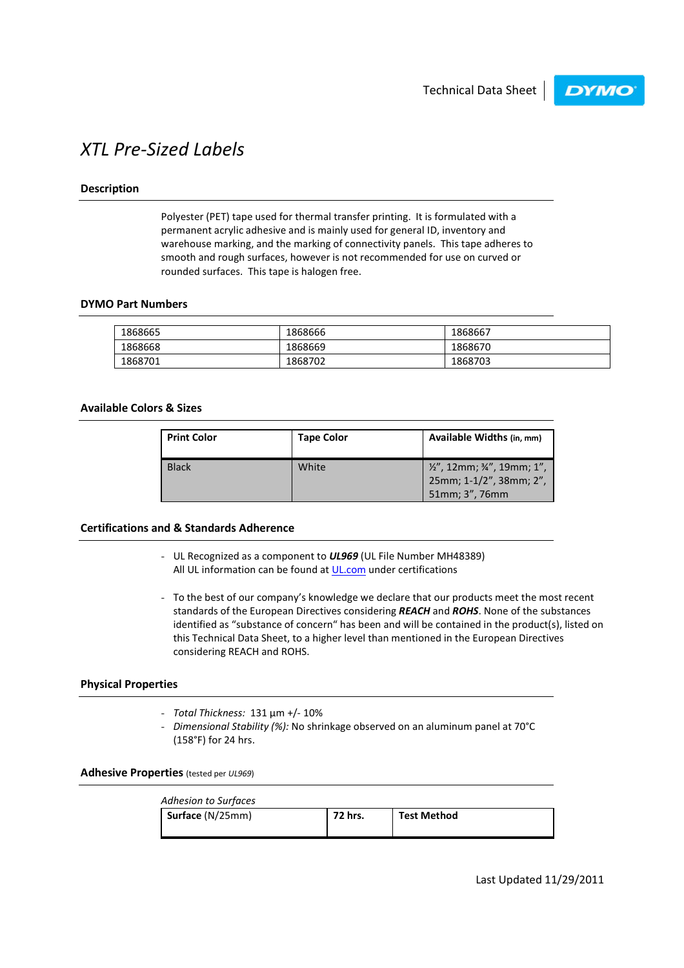**DYMO** 

## XTL Pre-Sized Labels

## Description

Polyester (PET) tape used for thermal transfer printing. It is formulated with a permanent acrylic adhesive and is mainly used for general ID, inventory and warehouse marking, and the marking of connectivity panels. This tape adheres to smooth and rough surfaces, however is not recommended for use on curved or rounded surfaces. This tape is halogen free.

## DYMO Part Numbers

| 1868665 | 1868666 | 1868667 |
|---------|---------|---------|
| 1868668 | 1868669 | 1868670 |
| 1868701 | 1868702 | 1868703 |

## Available Colors & Sizes

| <b>Print Color</b> | <b>Tape Color</b> | Available Widths (in, mm)                                                |
|--------------------|-------------------|--------------------------------------------------------------------------|
| <b>Black</b>       | White             | 1/2", 12mm; 3/4", 19mm; 1",<br>25mm; 1-1/2", 38mm; 2",<br>51mm; 3", 76mm |

## Certifications and & Standards Adherence

- UL Recognized as a component to **UL969** (UL File Number MH48389) All UL information can be found at UL.com under certifications
- To the best of our company's knowledge we declare that our products meet the most recent standards of the European Directives considering REACH and ROHS. None of the substances identified as "substance of concern" has been and will be contained in the product(s), listed on this Technical Data Sheet, to a higher level than mentioned in the European Directives considering REACH and ROHS.

## Physical Properties

- Total Thickness: 131 µm +/- 10%
- Dimensional Stability (%): No shrinkage observed on an aluminum panel at 70°C (158°F) for 24 hrs.

Adhesive Properties (tested per UL969)

| Adhesion to Surfaces |         |                    |
|----------------------|---------|--------------------|
| Surface (N/25mm)     | 72 hrs. | <b>Test Method</b> |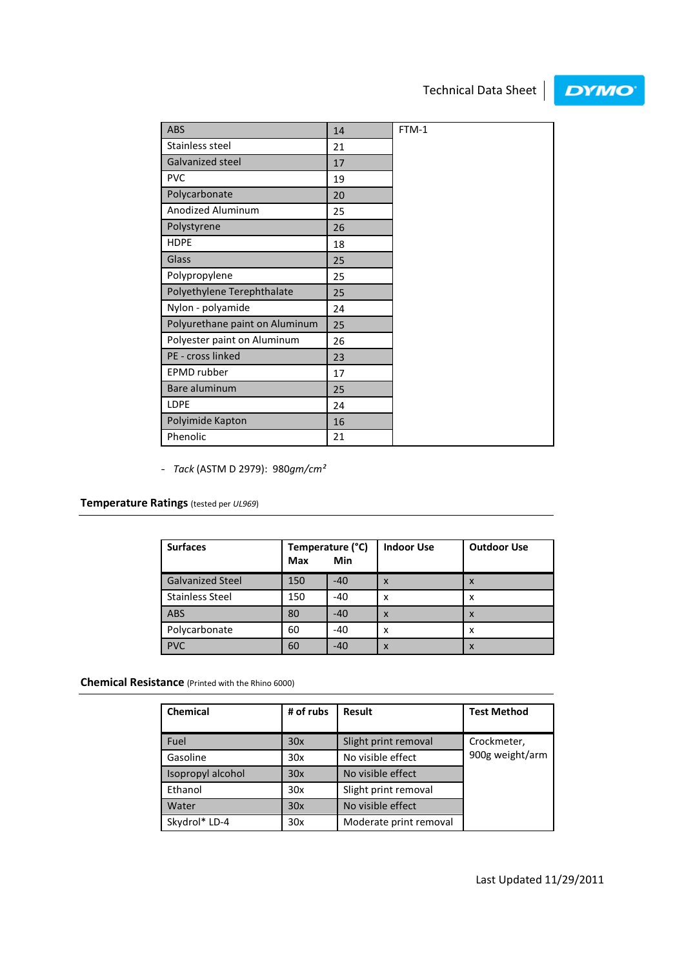# Technical Data Sheet

# **DYMO**

| ABS                            | 14 | FTM-1 |
|--------------------------------|----|-------|
| Stainless steel                | 21 |       |
| Galvanized steel               | 17 |       |
| <b>PVC</b>                     | 19 |       |
| Polycarbonate                  | 20 |       |
| Anodized Aluminum              | 25 |       |
| Polystyrene                    | 26 |       |
| <b>HDPE</b>                    | 18 |       |
| Glass                          | 25 |       |
| Polypropylene                  | 25 |       |
| Polyethylene Terephthalate     | 25 |       |
| Nylon - polyamide              | 24 |       |
| Polyurethane paint on Aluminum | 25 |       |
| Polyester paint on Aluminum    | 26 |       |
| PE - cross linked              | 23 |       |
| <b>EPMD</b> rubber             | 17 |       |
| Bare aluminum                  | 25 |       |
| LDPE                           | 24 |       |
| Polyimide Kapton               | 16 |       |
| Phenolic                       | 21 |       |

- Tack (ASTM D 2979): 980gm/cm²

## Temperature Ratings (tested per UL969)

| <b>Surfaces</b>         | Temperature (°C)<br>Min<br>Max |       | <b>Indoor Use</b>         | <b>Outdoor Use</b> |
|-------------------------|--------------------------------|-------|---------------------------|--------------------|
| <b>Galvanized Steel</b> | 150                            | $-40$ | $\boldsymbol{\mathsf{x}}$ | X                  |
| <b>Stainless Steel</b>  | 150                            | $-40$ | x                         | x                  |
| <b>ABS</b>              | 80                             | $-40$ | $\boldsymbol{\mathsf{x}}$ | X                  |
| Polycarbonate           | 60                             | $-40$ | x                         | x                  |
| <b>PVC</b>              | 60                             | $-40$ | $\boldsymbol{\mathsf{x}}$ | x                  |

Chemical Resistance (Printed with the Rhino 6000)

| <b>Chemical</b>   | # of rubs | <b>Result</b>          | <b>Test Method</b> |
|-------------------|-----------|------------------------|--------------------|
| Fuel              | 30x       | Slight print removal   | Crockmeter,        |
| Gasoline          | 30x       | No visible effect      | 900g weight/arm    |
| Isopropyl alcohol | 30x       | No visible effect      |                    |
| Ethanol           | 30x       | Slight print removal   |                    |
| Water             | 30x       | No visible effect      |                    |
| Skydrol* LD-4     | 30x       | Moderate print removal |                    |